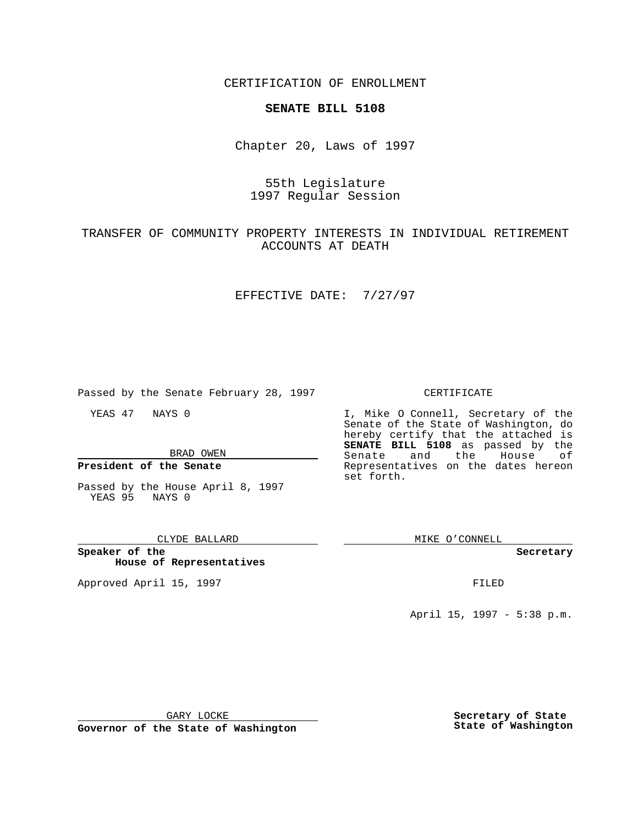CERTIFICATION OF ENROLLMENT

## **SENATE BILL 5108**

Chapter 20, Laws of 1997

# 55th Legislature 1997 Regular Session

# TRANSFER OF COMMUNITY PROPERTY INTERESTS IN INDIVIDUAL RETIREMENT ACCOUNTS AT DEATH

### EFFECTIVE DATE: 7/27/97

Passed by the Senate February 28, 1997

YEAS 47 NAYS 0

BRAD OWEN

**President of the Senate**

Passed by the House April 8, 1997 YEAS 95 NAYS 0

### CLYDE BALLARD

**Speaker of the House of Representatives**

Approved April 15, 1997 **FILED** 

### CERTIFICATE

I, Mike O Connell, Secretary of the Senate of the State of Washington, do hereby certify that the attached is **SENATE BILL 5108** as passed by the Senate and the House of Representatives on the dates hereon set forth.

MIKE O'CONNELL

#### **Secretary**

April 15, 1997 - 5:38 p.m.

GARY LOCKE

**Governor of the State of Washington**

**Secretary of State State of Washington**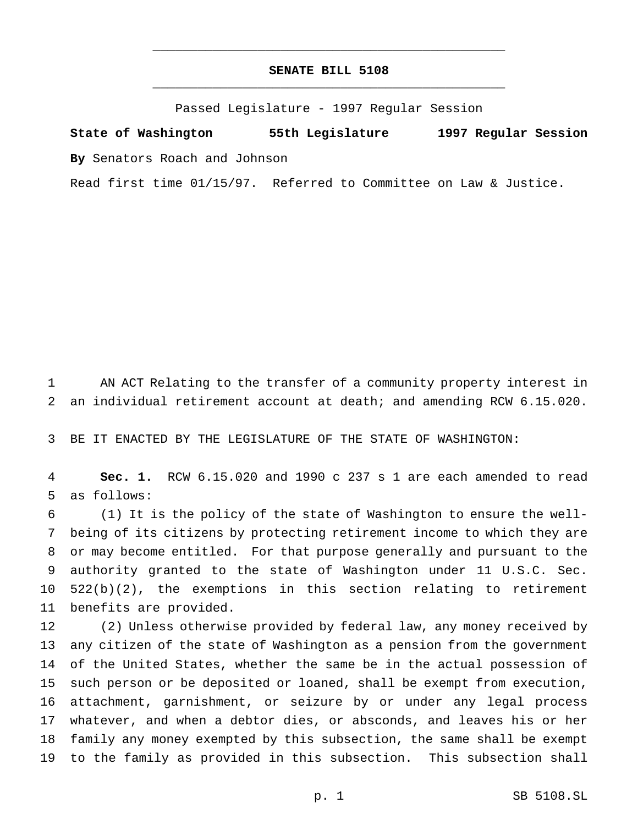### **SENATE BILL 5108** \_\_\_\_\_\_\_\_\_\_\_\_\_\_\_\_\_\_\_\_\_\_\_\_\_\_\_\_\_\_\_\_\_\_\_\_\_\_\_\_\_\_\_\_\_\_\_

\_\_\_\_\_\_\_\_\_\_\_\_\_\_\_\_\_\_\_\_\_\_\_\_\_\_\_\_\_\_\_\_\_\_\_\_\_\_\_\_\_\_\_\_\_\_\_

Passed Legislature - 1997 Regular Session

**State of Washington 55th Legislature 1997 Regular Session By** Senators Roach and Johnson

Read first time 01/15/97. Referred to Committee on Law & Justice.

 AN ACT Relating to the transfer of a community property interest in an individual retirement account at death; and amending RCW 6.15.020.

BE IT ENACTED BY THE LEGISLATURE OF THE STATE OF WASHINGTON:

 **Sec. 1.** RCW 6.15.020 and 1990 c 237 s 1 are each amended to read as follows:

 (1) It is the policy of the state of Washington to ensure the well- being of its citizens by protecting retirement income to which they are or may become entitled. For that purpose generally and pursuant to the authority granted to the state of Washington under 11 U.S.C. Sec. 522(b)(2), the exemptions in this section relating to retirement benefits are provided.

 (2) Unless otherwise provided by federal law, any money received by any citizen of the state of Washington as a pension from the government of the United States, whether the same be in the actual possession of such person or be deposited or loaned, shall be exempt from execution, attachment, garnishment, or seizure by or under any legal process whatever, and when a debtor dies, or absconds, and leaves his or her family any money exempted by this subsection, the same shall be exempt to the family as provided in this subsection. This subsection shall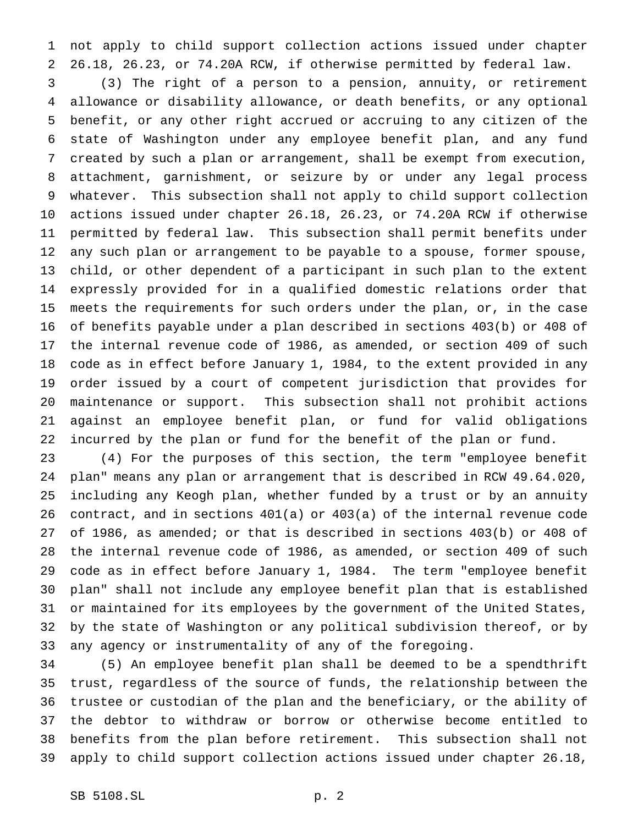not apply to child support collection actions issued under chapter 26.18, 26.23, or 74.20A RCW, if otherwise permitted by federal law.

 (3) The right of a person to a pension, annuity, or retirement allowance or disability allowance, or death benefits, or any optional benefit, or any other right accrued or accruing to any citizen of the state of Washington under any employee benefit plan, and any fund created by such a plan or arrangement, shall be exempt from execution, attachment, garnishment, or seizure by or under any legal process whatever. This subsection shall not apply to child support collection actions issued under chapter 26.18, 26.23, or 74.20A RCW if otherwise permitted by federal law. This subsection shall permit benefits under any such plan or arrangement to be payable to a spouse, former spouse, child, or other dependent of a participant in such plan to the extent expressly provided for in a qualified domestic relations order that meets the requirements for such orders under the plan, or, in the case of benefits payable under a plan described in sections 403(b) or 408 of the internal revenue code of 1986, as amended, or section 409 of such code as in effect before January 1, 1984, to the extent provided in any order issued by a court of competent jurisdiction that provides for maintenance or support. This subsection shall not prohibit actions against an employee benefit plan, or fund for valid obligations incurred by the plan or fund for the benefit of the plan or fund.

 (4) For the purposes of this section, the term "employee benefit plan" means any plan or arrangement that is described in RCW 49.64.020, including any Keogh plan, whether funded by a trust or by an annuity contract, and in sections 401(a) or 403(a) of the internal revenue code of 1986, as amended; or that is described in sections 403(b) or 408 of the internal revenue code of 1986, as amended, or section 409 of such code as in effect before January 1, 1984. The term "employee benefit plan" shall not include any employee benefit plan that is established or maintained for its employees by the government of the United States, by the state of Washington or any political subdivision thereof, or by any agency or instrumentality of any of the foregoing.

 (5) An employee benefit plan shall be deemed to be a spendthrift trust, regardless of the source of funds, the relationship between the trustee or custodian of the plan and the beneficiary, or the ability of the debtor to withdraw or borrow or otherwise become entitled to benefits from the plan before retirement. This subsection shall not apply to child support collection actions issued under chapter 26.18,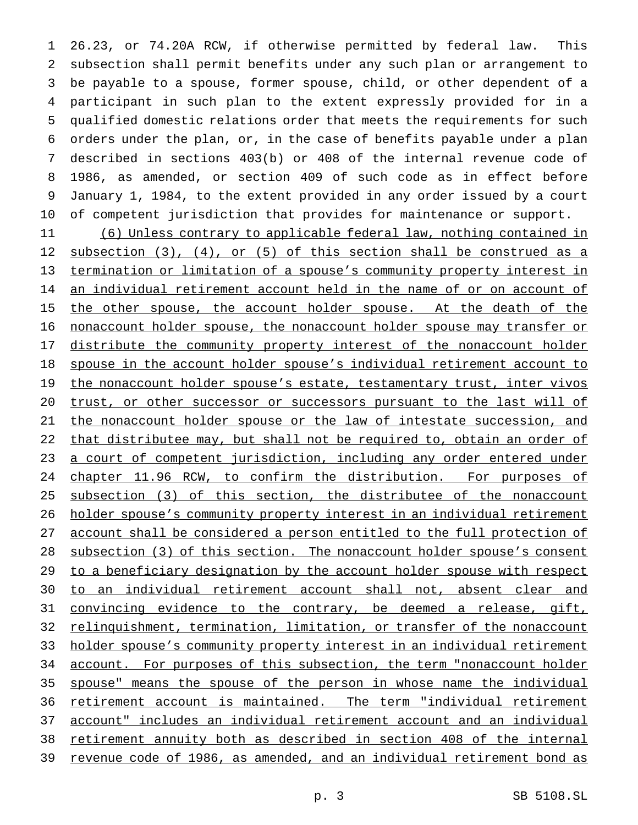26.23, or 74.20A RCW, if otherwise permitted by federal law. This subsection shall permit benefits under any such plan or arrangement to be payable to a spouse, former spouse, child, or other dependent of a participant in such plan to the extent expressly provided for in a qualified domestic relations order that meets the requirements for such orders under the plan, or, in the case of benefits payable under a plan described in sections 403(b) or 408 of the internal revenue code of 1986, as amended, or section 409 of such code as in effect before January 1, 1984, to the extent provided in any order issued by a court of competent jurisdiction that provides for maintenance or support.

 (6) Unless contrary to applicable federal law, nothing contained in subsection (3), (4), or (5) of this section shall be construed as a termination or limitation of a spouse's community property interest in 14 an individual retirement account held in the name of or on account of 15 the other spouse, the account holder spouse. At the death of the nonaccount holder spouse, the nonaccount holder spouse may transfer or distribute the community property interest of the nonaccount holder spouse in the account holder spouse's individual retirement account to 19 the nonaccount holder spouse's estate, testamentary trust, inter vivos trust, or other successor or successors pursuant to the last will of the nonaccount holder spouse or the law of intestate succession, and that distributee may, but shall not be required to, obtain an order of a court of competent jurisdiction, including any order entered under 24 chapter 11.96 RCW, to confirm the distribution. For purposes of subsection (3) of this section, the distributee of the nonaccount holder spouse's community property interest in an individual retirement account shall be considered a person entitled to the full protection of subsection (3) of this section. The nonaccount holder spouse's consent to a beneficiary designation by the account holder spouse with respect to an individual retirement account shall not, absent clear and convincing evidence to the contrary, be deemed a release, gift, relinquishment, termination, limitation, or transfer of the nonaccount holder spouse's community property interest in an individual retirement account. For purposes of this subsection, the term "nonaccount holder spouse" means the spouse of the person in whose name the individual retirement account is maintained. The term "individual retirement account" includes an individual retirement account and an individual retirement annuity both as described in section 408 of the internal revenue code of 1986, as amended, and an individual retirement bond as